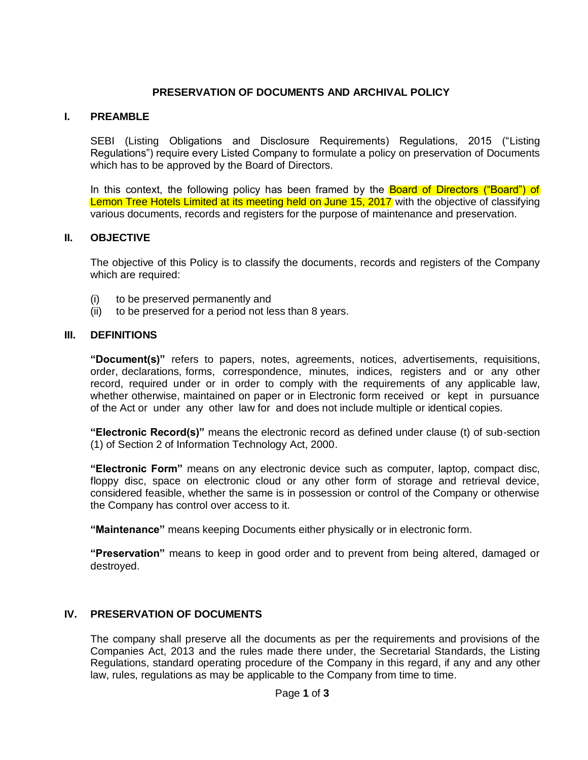## **PRESERVATION OF DOCUMENTS AND ARCHIVAL POLICY**

## **I. PREAMBLE**

SEBI (Listing Obligations and Disclosure Requirements) Regulations, 2015 ("Listing Regulations") require every Listed Company to formulate a policy on preservation of Documents which has to be approved by the Board of Directors.

In this context, the following policy has been framed by the **Board of Directors ("Board") of** Lemon Tree Hotels Limited at its meeting held on June 15, 2017 with the objective of classifying various documents, records and registers for the purpose of maintenance and preservation.

#### **II. OBJECTIVE**

The objective of this Policy is to classify the documents, records and registers of the Company which are required:

- (i) to be preserved permanently and
- (ii) to be preserved for a period not less than 8 years.

### **III. DEFINITIONS**

**"Document(s)"** refers to papers, notes, agreements, notices, advertisements, requisitions, order, declarations, forms, correspondence, minutes, indices, registers and or any other record, required under or in order to comply with the requirements of any applicable law, whether otherwise, maintained on paper or in Electronic form received or kept in pursuance of the Act or under any other law for and does not include multiple or identical copies.

**"Electronic Record(s)"** means the electronic record as defined under clause (t) of sub-section (1) of Section 2 of Information Technology Act, 2000.

**"Electronic Form"** means on any electronic device such as computer, laptop, compact disc, floppy disc, space on electronic cloud or any other form of storage and retrieval device, considered feasible, whether the same is in possession or control of the Company or otherwise the Company has control over access to it.

**"Maintenance"** means keeping Documents either physically or in electronic form.

**"Preservation"** means to keep in good order and to prevent from being altered, damaged or destroyed.

# **IV. PRESERVATION OF DOCUMENTS**

The company shall preserve all the documents as per the requirements and provisions of the Companies Act, 2013 and the rules made there under, the Secretarial Standards, the Listing Regulations, standard operating procedure of the Company in this regard, if any and any other law, rules, regulations as may be applicable to the Company from time to time.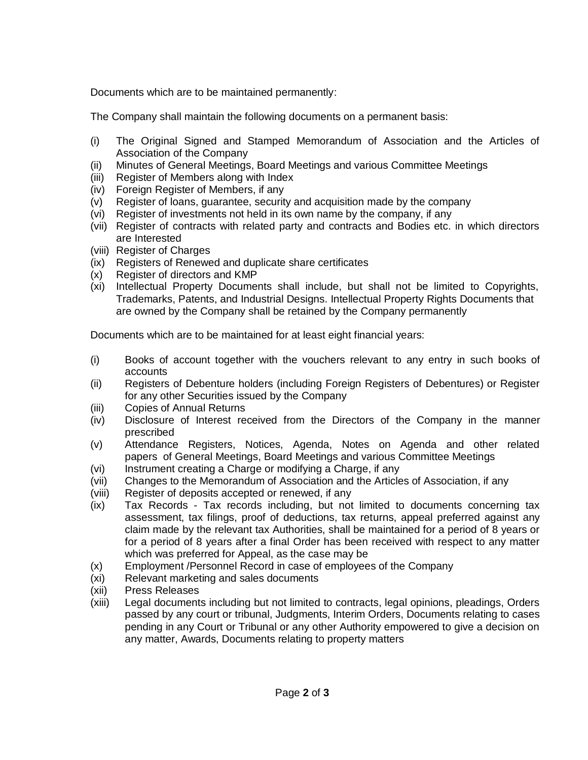Documents which are to be maintained permanently:

The Company shall maintain the following documents on a permanent basis:

- (i) The Original Signed and Stamped Memorandum of Association and the Articles of Association of the Company
- (ii) Minutes of General Meetings, Board Meetings and various Committee Meetings
- (iii) Register of Members along with Index
- (iv) Foreign Register of Members, if any
- (v) Register of loans, guarantee, security and acquisition made by the company
- (vi) Register of investments not held in its own name by the company, if any
- (vii) Register of contracts with related party and contracts and Bodies etc. in which directors are Interested
- (viii) Register of Charges
- (ix) Registers of Renewed and duplicate share certificates
- (x) Register of directors and KMP
- (xi) Intellectual Property Documents shall include, but shall not be limited to Copyrights, Trademarks, Patents, and Industrial Designs. Intellectual Property Rights Documents that are owned by the Company shall be retained by the Company permanently

Documents which are to be maintained for at least eight financial years:

- (i) Books of account together with the vouchers relevant to any entry in such books of accounts
- (ii) Registers of Debenture holders (including Foreign Registers of Debentures) or Register for any other Securities issued by the Company
- (iii) Copies of Annual Returns
- (iv) Disclosure of Interest received from the Directors of the Company in the manner prescribed
- (v) Attendance Registers, Notices, Agenda, Notes on Agenda and other related papers of General Meetings, Board Meetings and various Committee Meetings
- (vi) Instrument creating a Charge or modifying a Charge, if any
- (vii) Changes to the Memorandum of Association and the Articles of Association, if any
- (viii) Register of deposits accepted or renewed, if any
- (ix) Tax Records Tax records including, but not limited to documents concerning tax assessment, tax filings, proof of deductions, tax returns, appeal preferred against any claim made by the relevant tax Authorities, shall be maintained for a period of 8 years or for a period of 8 years after a final Order has been received with respect to any matter which was preferred for Appeal, as the case may be
- (x) Employment /Personnel Record in case of employees of the Company
- (xi) Relevant marketing and sales documents
- (xii) Press Releases
- (xiii) Legal documents including but not limited to contracts, legal opinions, pleadings, Orders passed by any court or tribunal, Judgments, Interim Orders, Documents relating to cases pending in any Court or Tribunal or any other Authority empowered to give a decision on any matter, Awards, Documents relating to property matters